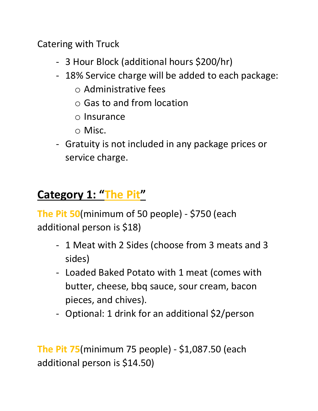Catering with Truck

- 3 Hour Block (additional hours \$200/hr)
- 18% Service charge will be added to each package:
	- $\circ$  Administrative fees
	- o Gas to and from location
	- o Insurance
	- o Misc.
- Gratuity is not included in any package prices or service charge.

# Category 1: "The Pit"

The Pit 50(minimum of 50 people) - \$750 (each additional person is \$18)

- 1 Meat with 2 Sides (choose from 3 meats and 3 sides)
- Loaded Baked Potato with 1 meat (comes with butter, cheese, bbq sauce, sour cream, bacon pieces, and chives).
- Optional: 1 drink for an additional \$2/person

The Pit 75(minimum 75 people) - \$1,087.50 (each additional person is \$14.50)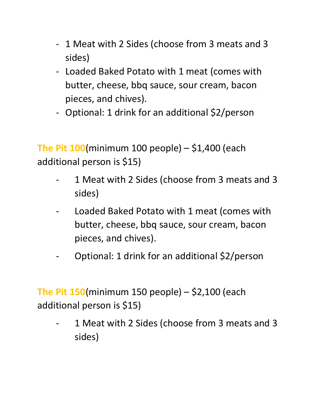- 1 Meat with 2 Sides (choose from 3 meats and 3 sides)
- Loaded Baked Potato with 1 meat (comes with butter, cheese, bbq sauce, sour cream, bacon pieces, and chives).
- Optional: 1 drink for an additional \$2/person

The Pit  $100$ (minimum 100 people) – \$1,400 (each additional person is \$15)

- 1 Meat with 2 Sides (choose from 3 meats and 3 sides)
- Loaded Baked Potato with 1 meat (comes with butter, cheese, bbq sauce, sour cream, bacon pieces, and chives).
- Optional: 1 drink for an additional \$2/person

The Pit  $150$ (minimum 150 people) – \$2,100 (each additional person is \$15)

1 Meat with 2 Sides (choose from 3 meats and 3 sides)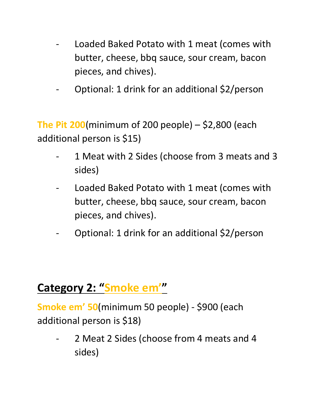- Loaded Baked Potato with 1 meat (comes with butter, cheese, bbq sauce, sour cream, bacon pieces, and chives).
- Optional: 1 drink for an additional \$2/person

The Pit 200(minimum of 200 people)  $-$  \$2,800 (each additional person is \$15)

- 1 Meat with 2 Sides (choose from 3 meats and 3 sides)
- Loaded Baked Potato with 1 meat (comes with butter, cheese, bbq sauce, sour cream, bacon pieces, and chives).
- Optional: 1 drink for an additional \$2/person

## Category 2: "Smoke em'"

Smoke em' 50(minimum 50 people) - \$900 (each additional person is \$18)

- 2 Meat 2 Sides (choose from 4 meats and 4 sides)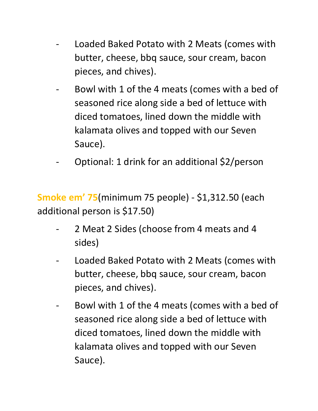- Loaded Baked Potato with 2 Meats (comes with butter, cheese, bbq sauce, sour cream, bacon pieces, and chives).
- Bowl with 1 of the 4 meats (comes with a bed of seasoned rice along side a bed of lettuce with diced tomatoes, lined down the middle with kalamata olives and topped with our Seven Sauce).
- Optional: 1 drink for an additional \$2/person

Smoke em' 75(minimum 75 people) - \$1,312.50 (each additional person is \$17.50)

- 2 Meat 2 Sides (choose from 4 meats and 4 sides)
- Loaded Baked Potato with 2 Meats (comes with butter, cheese, bbq sauce, sour cream, bacon pieces, and chives).
- Bowl with 1 of the 4 meats (comes with a bed of seasoned rice along side a bed of lettuce with diced tomatoes, lined down the middle with kalamata olives and topped with our Seven Sauce).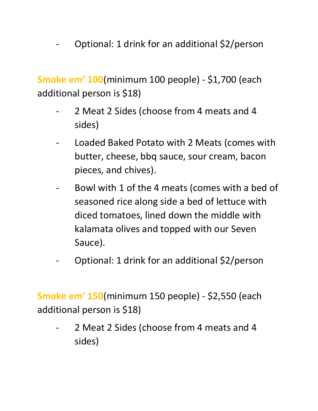Optional: 1 drink for an additional \$2/person

Smoke em' 100(minimum 100 people) - \$1,700 (each additional person is \$18)

- 2 Meat 2 Sides (choose from 4 meats and 4 sides)
- Loaded Baked Potato with 2 Meats (comes with butter, cheese, bbq sauce, sour cream, bacon pieces, and chives).
- Bowl with 1 of the 4 meats (comes with a bed of seasoned rice along side a bed of lettuce with diced tomatoes, lined down the middle with kalamata olives and topped with our Seven Sauce).
- Optional: 1 drink for an additional \$2/person

Smoke em' 150(minimum 150 people) - \$2,550 (each additional person is \$18)

- 2 Meat 2 Sides (choose from 4 meats and 4 sides)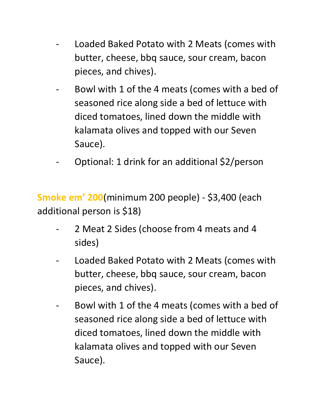- Loaded Baked Potato with 2 Meats (comes with butter, cheese, bbq sauce, sour cream, bacon pieces, and chives).
- Bowl with 1 of the 4 meats (comes with a bed of seasoned rice along side a bed of lettuce with diced tomatoes, lined down the middle with kalamata olives and topped with our Seven Sauce).
- Optional: 1 drink for an additional \$2/person

Smoke em' 200(minimum 200 people) - \$3,400 (each additional person is \$18)

- 2 Meat 2 Sides (choose from 4 meats and 4 sides)
- Loaded Baked Potato with 2 Meats (comes with butter, cheese, bbq sauce, sour cream, bacon pieces, and chives).
- Bowl with 1 of the 4 meats (comes with a bed of seasoned rice along side a bed of lettuce with diced tomatoes, lined down the middle with kalamata olives and topped with our Seven Sauce).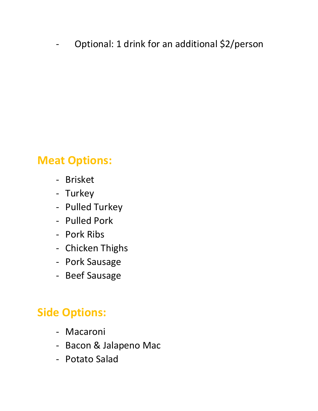Optional: 1 drink for an additional \$2/person

## Meat Options:

- Brisket
- Turkey
- Pulled Turkey
- Pulled Pork
- Pork Ribs
- Chicken Thighs
- Pork Sausage
- Beef Sausage

## Side Options:

- Macaroni
- Bacon & Jalapeno Mac
- Potato Salad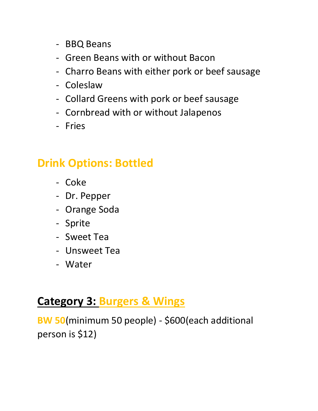- BBQ Beans
- Green Beans with or without Bacon
- Charro Beans with either pork or beef sausage
- Coleslaw
- Collard Greens with pork or beef sausage
- Cornbread with or without Jalapenos
- Fries

### Drink Options: Bottled

- Coke
- Dr. Pepper
- Orange Soda
- Sprite
- Sweet Tea
- Unsweet Tea
- Water

### Category 3: Burgers & Wings

BW 50(minimum 50 people) - \$600(each additional person is \$12)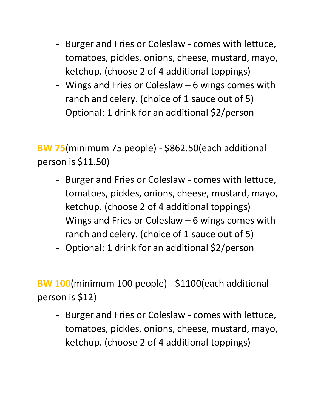- Burger and Fries or Coleslaw comes with lettuce, tomatoes, pickles, onions, cheese, mustard, mayo, ketchup. (choose 2 of 4 additional toppings)
- Wings and Fries or Coleslaw 6 wings comes with ranch and celery. (choice of 1 sauce out of 5)
- Optional: 1 drink for an additional \$2/person

BW 75(minimum 75 people) - \$862.50(each additional person is \$11.50)

- Burger and Fries or Coleslaw comes with lettuce, tomatoes, pickles, onions, cheese, mustard, mayo, ketchup. (choose 2 of 4 additional toppings)
- Wings and Fries or Coleslaw 6 wings comes with ranch and celery. (choice of 1 sauce out of 5)
- Optional: 1 drink for an additional \$2/person

BW 100(minimum 100 people) - \$1100(each additional person is \$12)

- Burger and Fries or Coleslaw - comes with lettuce, tomatoes, pickles, onions, cheese, mustard, mayo, ketchup. (choose 2 of 4 additional toppings)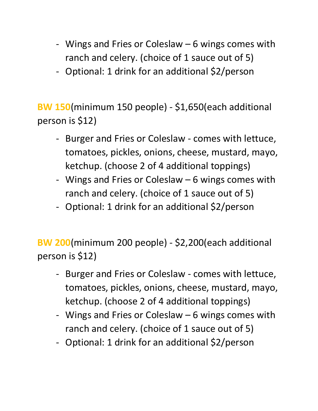- Wings and Fries or Coleslaw 6 wings comes with ranch and celery. (choice of 1 sauce out of 5)
- Optional: 1 drink for an additional \$2/person

BW 150(minimum 150 people) - \$1,650(each additional person is \$12)

- Burger and Fries or Coleslaw comes with lettuce, tomatoes, pickles, onions, cheese, mustard, mayo, ketchup. (choose 2 of 4 additional toppings)
- Wings and Fries or Coleslaw 6 wings comes with ranch and celery. (choice of 1 sauce out of 5)
- Optional: 1 drink for an additional \$2/person

BW 200(minimum 200 people) - \$2,200(each additional person is \$12)

- Burger and Fries or Coleslaw comes with lettuce, tomatoes, pickles, onions, cheese, mustard, mayo, ketchup. (choose 2 of 4 additional toppings)
- Wings and Fries or Coleslaw 6 wings comes with ranch and celery. (choice of 1 sauce out of 5)
- Optional: 1 drink for an additional \$2/person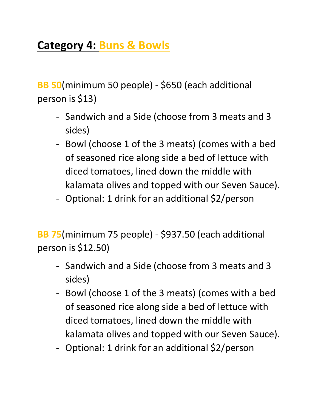# Category 4: Buns & Bowls

BB 50(minimum 50 people) - \$650 (each additional person is \$13)

- Sandwich and a Side (choose from 3 meats and 3 sides)
- Bowl (choose 1 of the 3 meats) (comes with a bed of seasoned rice along side a bed of lettuce with diced tomatoes, lined down the middle with kalamata olives and topped with our Seven Sauce).
- Optional: 1 drink for an additional \$2/person

BB 75(minimum 75 people) - \$937.50 (each additional person is \$12.50)

- Sandwich and a Side (choose from 3 meats and 3 sides)
- Bowl (choose 1 of the 3 meats) (comes with a bed of seasoned rice along side a bed of lettuce with diced tomatoes, lined down the middle with kalamata olives and topped with our Seven Sauce).
- Optional: 1 drink for an additional \$2/person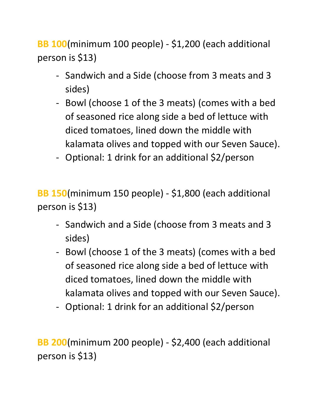BB 100(minimum 100 people) - \$1,200 (each additional person is \$13)

- Sandwich and a Side (choose from 3 meats and 3 sides)
- Bowl (choose 1 of the 3 meats) (comes with a bed of seasoned rice along side a bed of lettuce with diced tomatoes, lined down the middle with kalamata olives and topped with our Seven Sauce).
- Optional: 1 drink for an additional \$2/person

BB 150(minimum 150 people) - \$1,800 (each additional person is \$13)

- Sandwich and a Side (choose from 3 meats and 3 sides)
- Bowl (choose 1 of the 3 meats) (comes with a bed of seasoned rice along side a bed of lettuce with diced tomatoes, lined down the middle with kalamata olives and topped with our Seven Sauce).
- Optional: 1 drink for an additional \$2/person

BB 200(minimum 200 people) - \$2,400 (each additional person is \$13)